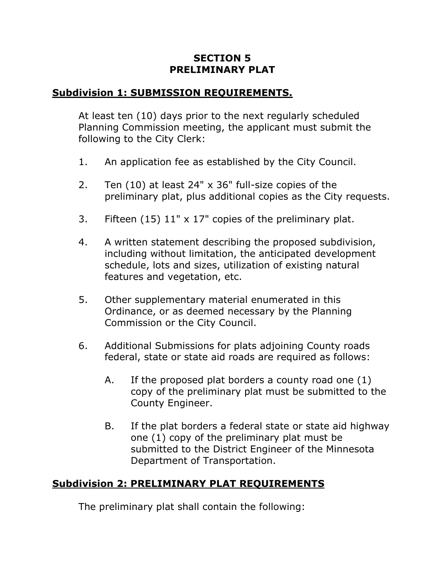## **SECTION 5 PRELIMINARY PLAT**

## **Subdivision 1: SUBMISSION REQUIREMENTS.**

At least ten (10) days prior to the next regularly scheduled Planning Commission meeting, the applicant must submit the following to the City Clerk:

- 1. An application fee as established by the City Council.
- 2. Ten (10) at least 24" x 36" full-size copies of the preliminary plat, plus additional copies as the City requests.
- 3. Fifteen (15) 11" x 17" copies of the preliminary plat.
- 4. A written statement describing the proposed subdivision, including without limitation, the anticipated development schedule, lots and sizes, utilization of existing natural features and vegetation, etc.
- 5. Other supplementary material enumerated in this Ordinance, or as deemed necessary by the Planning Commission or the City Council.
- 6. Additional Submissions for plats adjoining County roads federal, state or state aid roads are required as follows:
	- A. If the proposed plat borders a county road one (1) copy of the preliminary plat must be submitted to the County Engineer.
	- B. If the plat borders a federal state or state aid highway one (1) copy of the preliminary plat must be submitted to the District Engineer of the Minnesota Department of Transportation.

## **Subdivision 2: PRELIMINARY PLAT REQUIREMENTS**

The preliminary plat shall contain the following: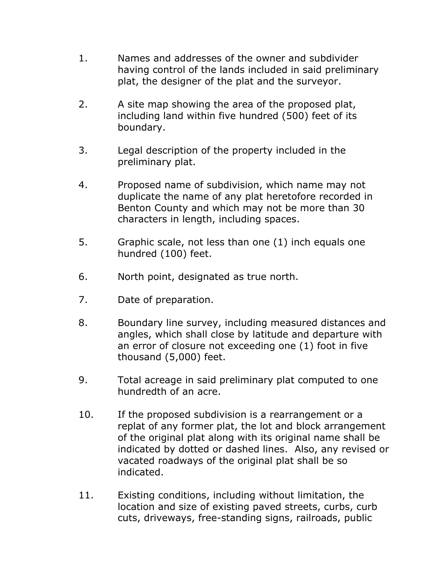- 1. Names and addresses of the owner and subdivider having control of the lands included in said preliminary plat, the designer of the plat and the surveyor.
- 2. A site map showing the area of the proposed plat, including land within five hundred (500) feet of its boundary.
- 3. Legal description of the property included in the preliminary plat.
- 4. Proposed name of subdivision, which name may not duplicate the name of any plat heretofore recorded in Benton County and which may not be more than 30 characters in length, including spaces.
- 5. Graphic scale, not less than one (1) inch equals one hundred (100) feet.
- 6. North point, designated as true north.
- 7. Date of preparation.
- 8. Boundary line survey, including measured distances and angles, which shall close by latitude and departure with an error of closure not exceeding one (1) foot in five thousand (5,000) feet.
- 9. Total acreage in said preliminary plat computed to one hundredth of an acre.
- 10. If the proposed subdivision is a rearrangement or a replat of any former plat, the lot and block arrangement of the original plat along with its original name shall be indicated by dotted or dashed lines. Also, any revised or vacated roadways of the original plat shall be so indicated.
- 11. Existing conditions, including without limitation, the location and size of existing paved streets, curbs, curb cuts, driveways, free-standing signs, railroads, public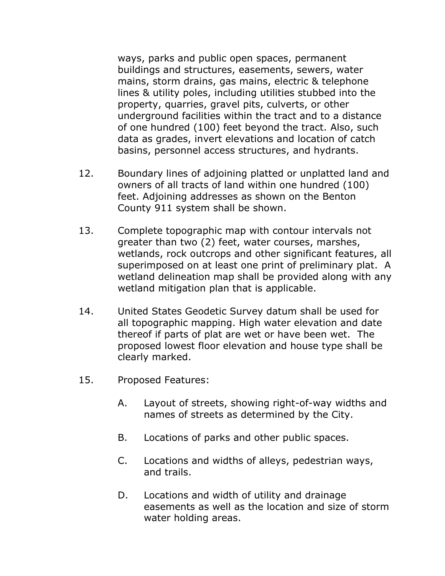ways, parks and public open spaces, permanent buildings and structures, easements, sewers, water mains, storm drains, gas mains, electric & telephone lines & utility poles, including utilities stubbed into the property, quarries, gravel pits, culverts, or other underground facilities within the tract and to a distance of one hundred (100) feet beyond the tract. Also, such data as grades, invert elevations and location of catch basins, personnel access structures, and hydrants.

- 12. Boundary lines of adjoining platted or unplatted land and owners of all tracts of land within one hundred (100) feet. Adjoining addresses as shown on the Benton County 911 system shall be shown.
- 13. Complete topographic map with contour intervals not greater than two (2) feet, water courses, marshes, wetlands, rock outcrops and other significant features, all superimposed on at least one print of preliminary plat. A wetland delineation map shall be provided along with any wetland mitigation plan that is applicable.
- 14. United States Geodetic Survey datum shall be used for all topographic mapping. High water elevation and date thereof if parts of plat are wet or have been wet. The proposed lowest floor elevation and house type shall be clearly marked.
- 15. Proposed Features:
	- A. Layout of streets, showing right-of-way widths and names of streets as determined by the City.
	- B. Locations of parks and other public spaces.
	- C. Locations and widths of alleys, pedestrian ways, and trails.
	- D. Locations and width of utility and drainage easements as well as the location and size of storm water holding areas.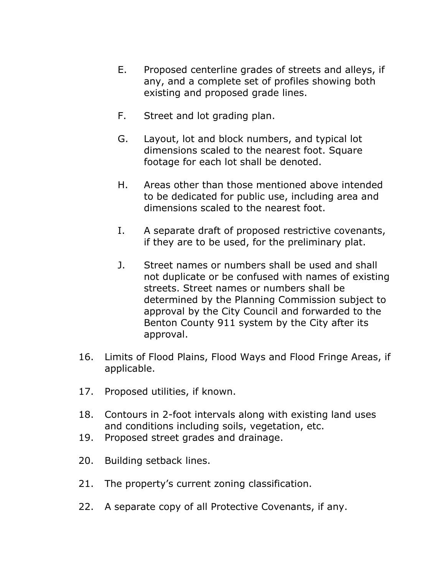- E. Proposed centerline grades of streets and alleys, if any, and a complete set of profiles showing both existing and proposed grade lines.
- F. Street and lot grading plan.
- G. Layout, lot and block numbers, and typical lot dimensions scaled to the nearest foot. Square footage for each lot shall be denoted.
- H. Areas other than those mentioned above intended to be dedicated for public use, including area and dimensions scaled to the nearest foot.
- I. A separate draft of proposed restrictive covenants, if they are to be used, for the preliminary plat.
- J. Street names or numbers shall be used and shall not duplicate or be confused with names of existing streets. Street names or numbers shall be determined by the Planning Commission subject to approval by the City Council and forwarded to the Benton County 911 system by the City after its approval.
- 16. Limits of Flood Plains, Flood Ways and Flood Fringe Areas, if applicable.
- 17. Proposed utilities, if known.
- 18. Contours in 2-foot intervals along with existing land uses and conditions including soils, vegetation, etc.
- 19. Proposed street grades and drainage.
- 20. Building setback lines.
- 21. The property's current zoning classification.
- 22. A separate copy of all Protective Covenants, if any.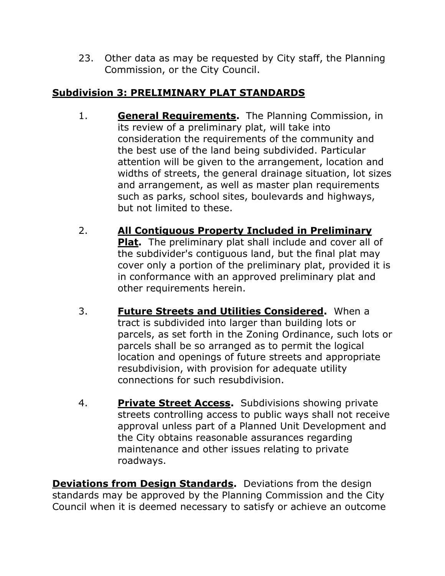23. Other data as may be requested by City staff, the Planning Commission, or the City Council.

## **Subdivision 3: PRELIMINARY PLAT STANDARDS**

- 1. **General Requirements.** The Planning Commission, in its review of a preliminary plat, will take into consideration the requirements of the community and the best use of the land being subdivided. Particular attention will be given to the arrangement, location and widths of streets, the general drainage situation, lot sizes and arrangement, as well as master plan requirements such as parks, school sites, boulevards and highways, but not limited to these.
- 2. **All Contiguous Property Included in Preliminary Plat.** The preliminary plat shall include and cover all of the subdivider's contiguous land, but the final plat may cover only a portion of the preliminary plat, provided it is in conformance with an approved preliminary plat and other requirements herein.
- 3. **Future Streets and Utilities Considered.** When a tract is subdivided into larger than building lots or parcels, as set forth in the Zoning Ordinance, such lots or parcels shall be so arranged as to permit the logical location and openings of future streets and appropriate resubdivision, with provision for adequate utility connections for such resubdivision.
- 4. **Private Street Access.** Subdivisions showing private streets controlling access to public ways shall not receive approval unless part of a Planned Unit Development and the City obtains reasonable assurances regarding maintenance and other issues relating to private roadways.

**Deviations from Design Standards.** Deviations from the design standards may be approved by the Planning Commission and the City Council when it is deemed necessary to satisfy or achieve an outcome